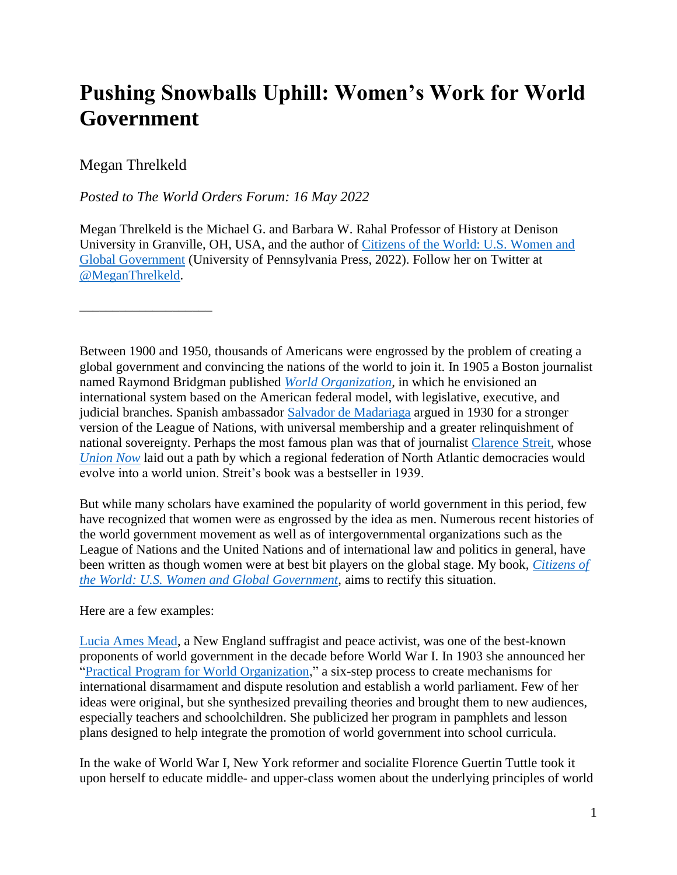## **Pushing Snowballs Uphill: Women's Work for World Government**

## Megan Threlkeld

\_\_\_\_\_\_\_\_\_\_\_\_\_\_\_\_\_\_\_\_

## *Posted to The World Orders Forum: 16 May 2022*

Megan Threlkeld is the Michael G. and Barbara W. Rahal Professor of History at Denison University in Granville, OH, USA, and the author of [Citizens of the World: U.S. Women and](https://www.pennpress.org/9780812253986/citizens-of-the-world/)  [Global Government](https://www.pennpress.org/9780812253986/citizens-of-the-world/) (University of Pennsylvania Press, 2022). Follow her on Twitter at [@MeganThrelkeld.](https://twitter.com/MeganThrelkeld)

Between 1900 and 1950, thousands of Americans were engrossed by the problem of creating a global government and convincing the nations of the world to join it. In 1905 a Boston journalist named Raymond Bridgman published *[World Organization,](https://hdl.handle.net/2027/hvd.32044103257390)* in which he envisioned an international system based on the American federal model, with legislative, executive, and judicial branches. Spanish ambassador [Salvador de Madariaga](https://en.wikipedia.org/wiki/Salvador_de_Madariaga) argued in 1930 for a stronger version of the League of Nations, with universal membership and a greater relinquishment of national sovereignty. Perhaps the most famous plan was that of journalist [Clarence](https://en.wikipedia.org/wiki/Clarence_Streit) Streit, whose *[Union Now](https://en.wikipedia.org/wiki/Union_Now)* laid out a path by which a regional federation of North Atlantic democracies would evolve into a world union. Streit's book was a bestseller in 1939.

But while many scholars have examined the popularity of world government in this period, few have recognized that women were as engrossed by the idea as men. Numerous recent histories of the world government movement as well as of intergovernmental organizations such as the League of Nations and the United Nations and of international law and politics in general, have been written as though women were at best bit players on the global stage. My book, *[Citizens of](https://www.pennpress.org/9780812253986/citizens-of-the-world/)  [the World: U.S. Women and Global Government](https://www.pennpress.org/9780812253986/citizens-of-the-world/)*, aims to rectify this situation.

Here are a few examples:

[Lucia Ames Mead,](https://en.wikipedia.org/wiki/Lucia_Ames_Mead) a New England suffragist and peace activist, was one of the best-known proponents of world government in the decade before World War I. In 1903 she announced her ["Practical Program for World Organization,](https://hdl.handle.net/2027/mdp.39015069749771?urlappend=%3Bseq=8%3Bownerid=13510798894930037-12)" a six-step process to create mechanisms for international disarmament and dispute resolution and establish a world parliament. Few of her ideas were original, but she synthesized prevailing theories and brought them to new audiences, especially teachers and schoolchildren. She publicized her program in pamphlets and lesson plans designed to help integrate the promotion of world government into school curricula.

In the wake of World War I, New York reformer and socialite Florence Guertin Tuttle took it upon herself to educate middle- and upper-class women about the underlying principles of world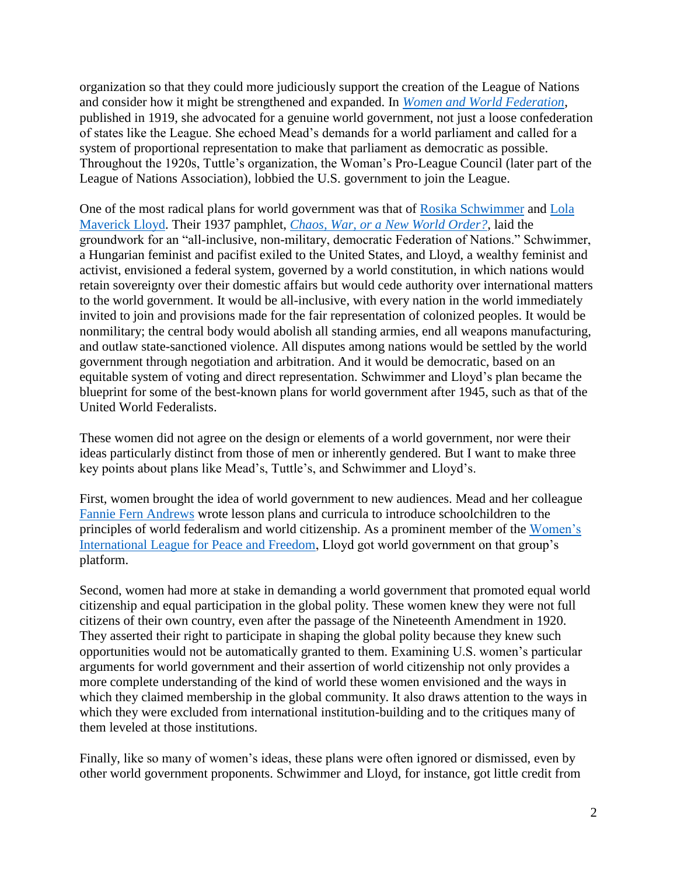organization so that they could more judiciously support the creation of the League of Nations and consider how it might be strengthened and expanded. In *[Women and World Federation](https://hdl.handle.net/2027/hvd.rsliik)*, published in 1919, she advocated for a genuine world government, not just a loose confederation of states like the League. She echoed Mead's demands for a world parliament and called for a system of proportional representation to make that parliament as democratic as possible. Throughout the 1920s, Tuttle's organization, the Woman's Pro-League Council (later part of the League of Nations Association), lobbied the U.S. government to join the League.

One of the most radical plans for world government was that of [Rosika Schwimmer](https://en.wikipedia.org/wiki/Rosika_Schwimmer) and [Lola](https://en.wikipedia.org/wiki/Lola_Maverick_Lloyd)  [Maverick Lloyd.](https://en.wikipedia.org/wiki/Lola_Maverick_Lloyd) Their 1937 pamphlet, *[Chaos, War, or a New World Order?](https://utdr.utoledo.edu/islandora/object/utoledo%3A5135/datastream/OBJ/view)*, laid the groundwork for an "all-inclusive, non-military, democratic Federation of Nations." Schwimmer, a Hungarian feminist and pacifist exiled to the United States, and Lloyd, a wealthy feminist and activist, envisioned a federal system, governed by a world constitution, in which nations would retain sovereignty over their domestic affairs but would cede authority over international matters to the world government. It would be all-inclusive, with every nation in the world immediately invited to join and provisions made for the fair representation of colonized peoples. It would be nonmilitary; the central body would abolish all standing armies, end all weapons manufacturing, and outlaw state-sanctioned violence. All disputes among nations would be settled by the world government through negotiation and arbitration. And it would be democratic, based on an equitable system of voting and direct representation. Schwimmer and Lloyd's plan became the blueprint for some of the best-known plans for world government after 1945, such as that of the United World Federalists.

These women did not agree on the design or elements of a world government, nor were their ideas particularly distinct from those of men or inherently gendered. But I want to make three key points about plans like Mead's, Tuttle's, and Schwimmer and Lloyd's.

First, women brought the idea of world government to new audiences. Mead and her colleague [Fannie Fern Andrews](https://en.wikipedia.org/wiki/Fannie_Fern_Andrews) wrote lesson plans and curricula to introduce schoolchildren to the principles of world federalism and world citizenship. As a prominent member of the [Women's](https://www.wilpf.org/)  [International League for Peace and Freedom,](https://www.wilpf.org/) Lloyd got world government on that group's platform.

Second, women had more at stake in demanding a world government that promoted equal world citizenship and equal participation in the global polity. These women knew they were not full citizens of their own country, even after the passage of the Nineteenth Amendment in 1920. They asserted their right to participate in shaping the global polity because they knew such opportunities would not be automatically granted to them. Examining U.S. women's particular arguments for world government and their assertion of world citizenship not only provides a more complete understanding of the kind of world these women envisioned and the ways in which they claimed membership in the global community. It also draws attention to the ways in which they were excluded from international institution-building and to the critiques many of them leveled at those institutions.

Finally, like so many of women's ideas, these plans were often ignored or dismissed, even by other world government proponents. Schwimmer and Lloyd, for instance, got little credit from